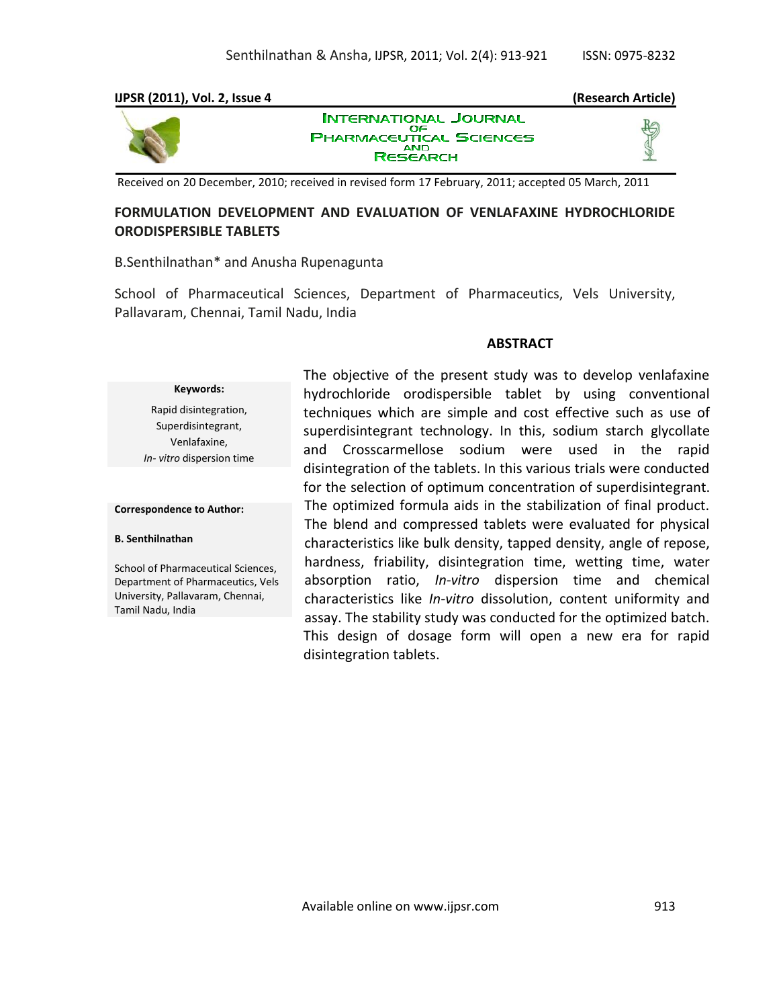#### **IJPSR (2011), Vol. 2, Issue 4 (Research Article) INTERNATIONAL JOURNAL** OF **PHARMACEUTICAL SCIENCES AND RESEARCH**

Received on 20 December, 2010; received in revised form 17 February, 2011; accepted 05 March, 2011

# **FORMULATION DEVELOPMENT AND EVALUATION OF VENLAFAXINE HYDROCHLORIDE ORODISPERSIBLE TABLETS**

B.Senthilnathan\* and Anusha Rupenagunta

School of Pharmaceutical Sciences, Department of Pharmaceutics, Vels University, Pallavaram, Chennai, Tamil Nadu, India

### **ABSTRACT**

#### **Keywords:**

Rapid disintegration, Superdisintegrant, Venlafaxine, *In- vitro* dispersion time

#### **Correspondence to Author:**

#### **B. Senthilnathan**

School of Pharmaceutical Sciences, Department of Pharmaceutics, Vels University, Pallavaram, Chennai, Tamil Nadu, India

The objective of the present study was to develop venlafaxine hydrochloride orodispersible tablet by using conventional techniques which are simple and cost effective such as use of superdisintegrant technology. In this, sodium starch glycollate and Crosscarmellose sodium were used in the rapid disintegration of the tablets. In this various trials were conducted for the selection of optimum concentration of superdisintegrant. The optimized formula aids in the stabilization of final product. The blend and compressed tablets were evaluated for physical characteristics like bulk density, tapped density, angle of repose, hardness, friability, disintegration time, wetting time, water absorption ratio, *In-vitro* dispersion time and chemical characteristics like *In-vitro* dissolution, content uniformity and assay. The stability study was conducted for the optimized batch. This design of dosage form will open a new era for rapid disintegration tablets.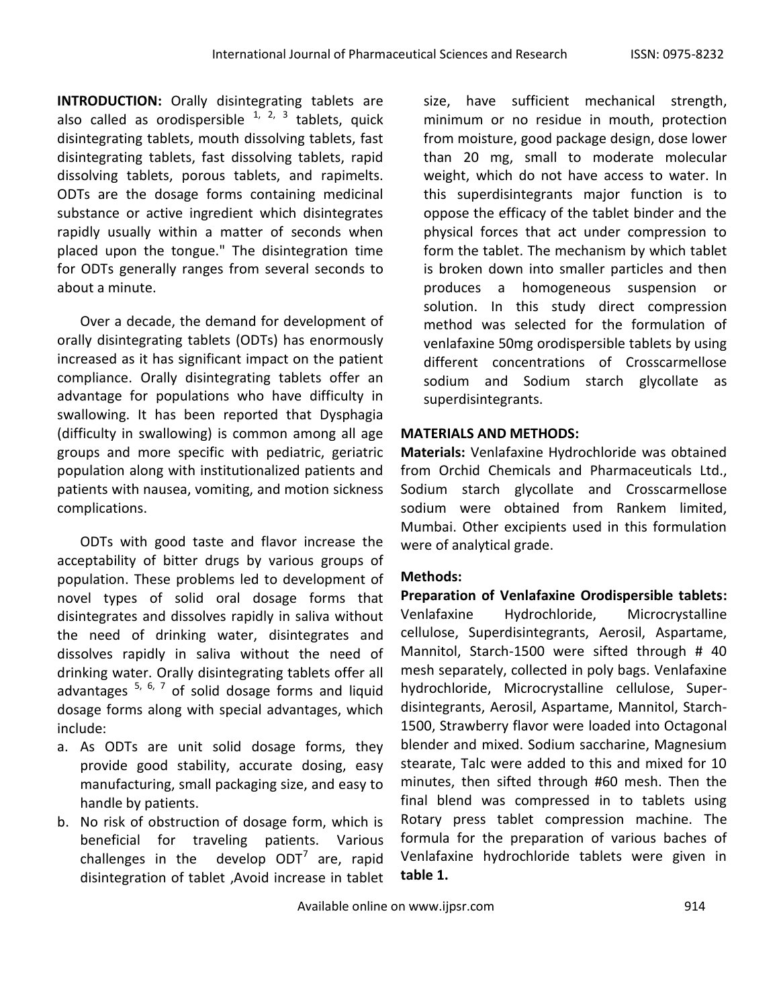**INTRODUCTION:** Orally disintegrating tablets are also called as orodispersible  $1, 2, 3$  tablets, quick disintegrating tablets, mouth dissolving tablets, fast disintegrating tablets, fast dissolving tablets, rapid dissolving tablets, porous tablets, and rapimelts. ODTs are the dosage forms containing medicinal substance or active ingredient which disintegrates rapidly usually within a matter of seconds when placed upon the tongue." The disintegration time for ODTs generally ranges from several seconds to about a minute.

Over a decade, the demand for development of orally disintegrating tablets (ODTs) has enormously increased as it has significant impact on the patient compliance. Orally disintegrating tablets offer an advantage for populations who have difficulty in swallowing. It has been reported that Dysphagia (difficulty in swallowing) is common among all age groups and more specific with pediatric, geriatric population along with institutionalized patients and patients with nausea, vomiting, and motion sickness complications.

ODTs with good taste and flavor increase the acceptability of bitter drugs by various groups of population. These problems led to development of novel types of solid oral dosage forms that disintegrates and dissolves rapidly in saliva without the need of drinking water, disintegrates and dissolves rapidly in saliva without the need of drinking water. Orally disintegrating tablets offer all advantages <sup>5, 6, 7</sup> of solid dosage forms and liquid dosage forms along with special advantages, which include:

- a. As ODTs are unit solid dosage forms, they provide good stability, accurate dosing, easy manufacturing, small packaging size, and easy to handle by patients.
- b. No risk of obstruction of dosage form, which is beneficial for traveling patients. Various challenges in the develop  $ODT<sup>7</sup>$  are, rapid disintegration of tablet ,Avoid increase in tablet

size, have sufficient mechanical strength, minimum or no residue in mouth, protection from moisture, good package design, dose lower than 20 mg, small to moderate molecular weight, which do not have access to water. In this superdisintegrants major function is to oppose the efficacy of the tablet binder and the physical forces that act under compression to form the tablet. The mechanism by which tablet is broken down into smaller particles and then produces a homogeneous suspension or solution. In this study direct compression method was selected for the formulation of venlafaxine 50mg orodispersible tablets by using different concentrations of Crosscarmellose sodium and Sodium starch glycollate as superdisintegrants.

# **MATERIALS AND METHODS:**

**Materials:** Venlafaxine Hydrochloride was obtained from Orchid Chemicals and Pharmaceuticals Ltd., Sodium starch glycollate and Crosscarmellose sodium were obtained from Rankem limited, Mumbai. Other excipients used in this formulation were of analytical grade.

# **Methods:**

**Preparation of Venlafaxine Orodispersible tablets:**  Venlafaxine Hydrochloride, Microcrystalline cellulose, Superdisintegrants, Aerosil, Aspartame, Mannitol, Starch-1500 were sifted through # 40 mesh separately, collected in poly bags. Venlafaxine hydrochloride, Microcrystalline cellulose, Superdisintegrants, Aerosil, Aspartame, Mannitol, Starch-1500, Strawberry flavor were loaded into Octagonal blender and mixed. Sodium saccharine, Magnesium stearate, Talc were added to this and mixed for 10 minutes, then sifted through #60 mesh. Then the final blend was compressed in to tablets using Rotary press tablet compression machine. The formula for the preparation of various baches of Venlafaxine hydrochloride tablets were given in **table 1.**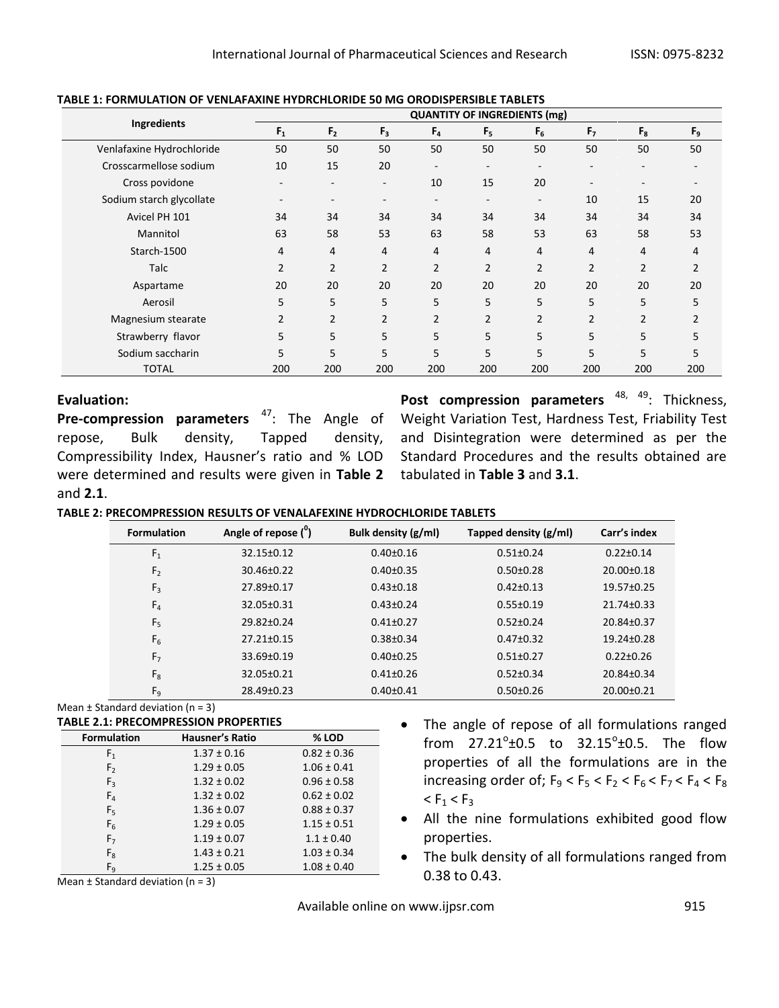|                           |                          | <b>QUANTITY OF INGREDIENTS (mg)</b> |                          |                          |                          |                          |                |                          |                |
|---------------------------|--------------------------|-------------------------------------|--------------------------|--------------------------|--------------------------|--------------------------|----------------|--------------------------|----------------|
| <b>Ingredients</b>        | $F_1$                    | F <sub>2</sub>                      | F <sub>3</sub>           | F <sub>4</sub>           | F <sub>5</sub>           | $F_6$                    | F <sub>7</sub> | $F_8$                    | $F_9$          |
| Venlafaxine Hydrochloride | 50                       | 50                                  | 50                       | 50                       | 50                       | 50                       | 50             | 50                       | 50             |
| Crosscarmellose sodium    | 10                       | 15                                  | 20                       | $\overline{\phantom{a}}$ | -                        | $\overline{\phantom{a}}$ |                | $\overline{\phantom{a}}$ |                |
| Cross povidone            |                          |                                     | $\overline{\phantom{a}}$ | 10                       | 15                       | 20                       |                | $\overline{\phantom{a}}$ |                |
| Sodium starch glycollate  | $\overline{\phantom{a}}$ | $\overline{\phantom{a}}$            | $\overline{\phantom{a}}$ | $\overline{\phantom{a}}$ | $\overline{\phantom{0}}$ | $\overline{\phantom{a}}$ | 10             | 15                       | 20             |
| Avicel PH 101             | 34                       | 34                                  | 34                       | 34                       | 34                       | 34                       | 34             | 34                       | 34             |
| Mannitol                  | 63                       | 58                                  | 53                       | 63                       | 58                       | 53                       | 63             | 58                       | 53             |
| Starch-1500               | 4                        | 4                                   | 4                        | 4                        | 4                        | 4                        | 4              | 4                        | 4              |
| Talc                      | $\overline{2}$           | $\overline{2}$                      | $\overline{2}$           | $\overline{2}$           | $\overline{2}$           | $\overline{2}$           | $\overline{2}$ | $\overline{2}$           | $\overline{2}$ |
| Aspartame                 | 20                       | 20                                  | 20                       | 20                       | 20                       | 20                       | 20             | 20                       | 20             |
| Aerosil                   | 5                        | 5                                   | 5                        | 5                        | 5                        | 5                        | 5              | 5                        | 5              |
| Magnesium stearate        | $\overline{2}$           | $\overline{2}$                      | $\overline{2}$           | $\overline{2}$           | $\overline{2}$           | $\overline{2}$           | $\overline{2}$ | $\overline{2}$           | $\overline{2}$ |
| Strawberry flavor         | 5                        | 5                                   | 5                        | 5                        | 5                        | 5                        | 5              | 5                        | 5              |
| Sodium saccharin          | 5                        | 5                                   | 5                        | 5                        | 5                        | 5                        | 5              | 5                        | 5              |
| <b>TOTAL</b>              | 200                      | 200                                 | 200                      | 200                      | 200                      | 200                      | 200            | 200                      | 200            |

#### **TABLE 1: FORMULATION OF VENLAFAXINE HYDRCHLORIDE 50 MG ORODISPERSIBLE TABLETS**

### **Evaluation:**

Pre-compression parameters <sup>47</sup>: The Angle of repose, Bulk density, Tapped density, Compressibility Index, Hausner's ratio and % LOD were determined and results were given in **Table 2** tabulated in **Table 3** and **3.1**. and **2.1**.

Post compression parameters <sup>48, 49</sup>: Thickness, Weight Variation Test, Hardness Test, Friability Test and Disintegration were determined as per the Standard Procedures and the results obtained are

**TABLE 2: PRECOMPRESSION RESULTS OF VENALAFEXINE HYDROCHLORIDE TABLETS**

| <b>Formulation</b> | Angle of repose $(^\circ)$ | Bulk density (g/ml) | Tapped density (g/ml) | Carr's index     |
|--------------------|----------------------------|---------------------|-----------------------|------------------|
| F <sub>1</sub>     | $32.15 \pm 0.12$           | $0.40 \pm 0.16$     | $0.51 \pm 0.24$       | $0.22 \pm 0.14$  |
| F <sub>2</sub>     | $30.46 \pm 0.22$           | $0.40\pm0.35$       | $0.50 \pm 0.28$       | $20.00+0.18$     |
| $F_3$              | 27.89±0.17                 | $0.43 \pm 0.18$     | $0.42 \pm 0.13$       | $19.57 \pm 0.25$ |
| $F_{4}$            | $32.05 \pm 0.31$           | $0.43 \pm 0.24$     | $0.55 \pm 0.19$       | $21.74 \pm 0.33$ |
| F <sub>5</sub>     | $29.82 \pm 0.24$           | $0.41 \pm 0.27$     | $0.52 \pm 0.24$       | $20.84 \pm 0.37$ |
| F <sub>6</sub>     | $27.21 \pm 0.15$           | $0.38 \pm 0.34$     | $0.47 \pm 0.32$       | $19.24 \pm 0.28$ |
| F <sub>7</sub>     | $33.69 \pm 0.19$           | $0.40 \pm 0.25$     | $0.51 \pm 0.27$       | $0.22 \pm 0.26$  |
| $F_8$              | $32.05 \pm 0.21$           | $0.41 \pm 0.26$     | $0.52 \pm 0.34$       | $20.84 \pm 0.34$ |
| F <sub>9</sub>     | $28.49 \pm 0.23$           | $0.40 \pm 0.41$     | $0.50 + 0.26$         | $20.00 \pm 0.21$ |

Mean  $\pm$  Standard deviation (n = 3)

### **TABLE 2.1: PRECOMPRESSION PROPERTIES**

| TADLL 2.1. FINLCOIVIFINLSSION FINOFLINTILS |                 |                 |  |  |  |  |
|--------------------------------------------|-----------------|-----------------|--|--|--|--|
| <b>Formulation</b>                         | Hausner's Ratio | % LOD           |  |  |  |  |
| F <sub>1</sub>                             | $1.37 \pm 0.16$ | $0.82 \pm 0.36$ |  |  |  |  |
| F <sub>2</sub>                             | $1.29 \pm 0.05$ | $1.06 \pm 0.41$ |  |  |  |  |
| $F_3$                                      | $1.32 \pm 0.02$ | $0.96 \pm 0.58$ |  |  |  |  |
| $F_{4}$                                    | $1.32 \pm 0.02$ | $0.62 \pm 0.02$ |  |  |  |  |
| $F_5$                                      | $1.36 \pm 0.07$ | $0.88 \pm 0.37$ |  |  |  |  |
| $F_6$                                      | $1.29 \pm 0.05$ | $1.15 \pm 0.51$ |  |  |  |  |
| F <sub>7</sub>                             | $1.19 \pm 0.07$ | $1.1 \pm 0.40$  |  |  |  |  |
| $F_8$                                      | $1.43 \pm 0.21$ | $1.03 \pm 0.34$ |  |  |  |  |
| Fq                                         | $1.25 \pm 0.05$ | $1.08 \pm 0.40$ |  |  |  |  |

Mean  $\pm$  Standard deviation (n = 3)

- The angle of repose of all formulations ranged from  $27.21^{\circ}$ ±0.5 to  $32.15^{\circ}$ ±0.5. The flow properties of all the formulations are in the increasing order of;  $F_9 < F_5 < F_2 < F_6 < F_7 < F_4 < F_8$  $< F<sub>1</sub> < F<sub>3</sub>$
- All the nine formulations exhibited good flow properties.
- The bulk density of all formulations ranged from 0.38 to 0.43.

Available online on www.ijpsr.com example on the 915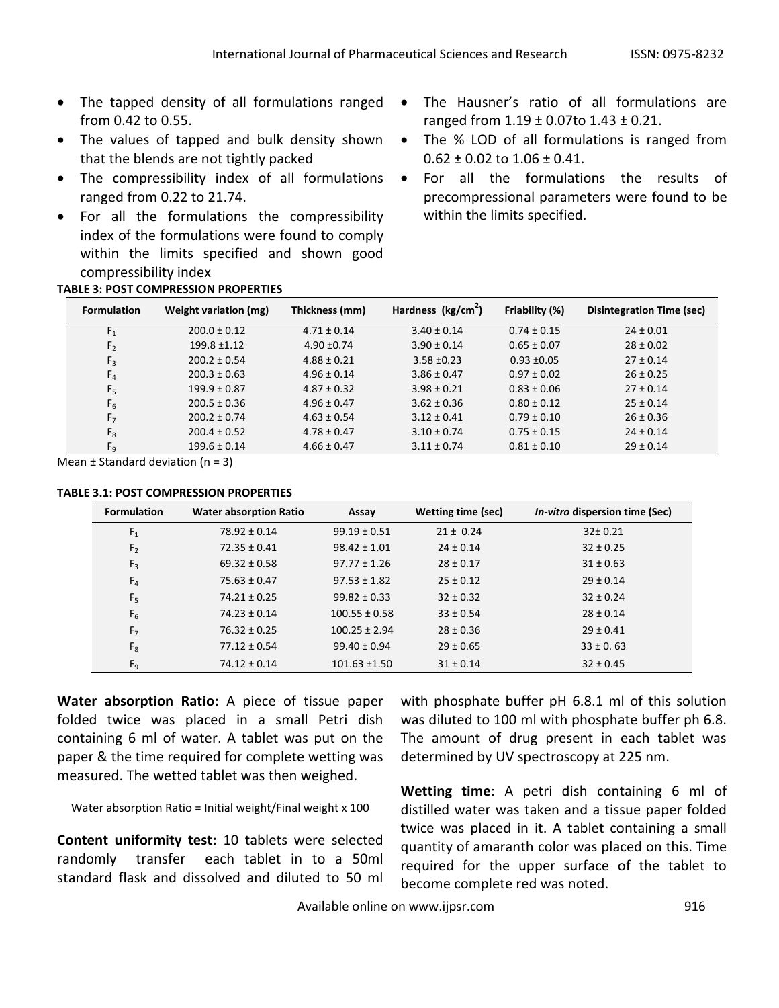- The tapped density of all formulations ranged from 0.42 to 0.55.
- The values of tapped and bulk density shown that the blends are not tightly packed
- The compressibility index of all formulations ranged from 0.22 to 21.74.
- For all the formulations the compressibility index of the formulations were found to comply within the limits specified and shown good compressibility index

### **TABLE 3: POST COMPRESSION PROPERTIES**

- The Hausner's ratio of all formulations are ranged from  $1.19 \pm 0.07$  to  $1.43 \pm 0.21$ .
- The % LOD of all formulations is ranged from  $0.62 \pm 0.02$  to  $1.06 \pm 0.41$ .
- For all the formulations the results of precompressional parameters were found to be within the limits specified.

| <b>Formulation</b> | Weight variation (mg) | Thickness (mm)  | Hardness (kg/cm <sup>2</sup> ) | Friability (%)  | <b>Disintegration Time (sec)</b> |
|--------------------|-----------------------|-----------------|--------------------------------|-----------------|----------------------------------|
| F <sub>1</sub>     | $200.0 \pm 0.12$      | $4.71 \pm 0.14$ | $3.40 \pm 0.14$                | $0.74 \pm 0.15$ | $24 \pm 0.01$                    |
| F <sub>2</sub>     | $199.8 \pm 1.12$      | $4.90 + 0.74$   | $3.90 \pm 0.14$                | $0.65 \pm 0.07$ | $28 \pm 0.02$                    |
| $F_3$              | $200.2 \pm 0.54$      | $4.88 \pm 0.21$ | $3.58 \pm 0.23$                | $0.93 + 0.05$   | $27 \pm 0.14$                    |
| F <sub>4</sub>     | $200.3 \pm 0.63$      | $4.96 \pm 0.14$ | $3.86 \pm 0.47$                | $0.97 \pm 0.02$ | $26 \pm 0.25$                    |
| F <sub>5</sub>     | $199.9 \pm 0.87$      | $4.87 \pm 0.32$ | $3.98 \pm 0.21$                | $0.83 \pm 0.06$ | $27 \pm 0.14$                    |
| $F_6$              | $200.5 \pm 0.36$      | $4.96 \pm 0.47$ | $3.62 \pm 0.36$                | $0.80 \pm 0.12$ | $25 \pm 0.14$                    |
| F <sub>7</sub>     | $200.2 \pm 0.74$      | $4.63 \pm 0.54$ | $3.12 \pm 0.41$                | $0.79 \pm 0.10$ | $26 \pm 0.36$                    |
| $F_8$              | $200.4 \pm 0.52$      | $4.78 \pm 0.47$ | $3.10 \pm 0.74$                | $0.75 \pm 0.15$ | $24 \pm 0.14$                    |
| F <sub>q</sub>     | $199.6 \pm 0.14$      | $4.66 \pm 0.47$ | $3.11 \pm 0.74$                | $0.81 \pm 0.10$ | $29 \pm 0.14$                    |

Mean  $\pm$  Standard deviation (n = 3)

#### **TABLE 3.1: POST COMPRESSION PROPERTIES**

| <b>Formulation</b> | <b>Water absorption Ratio</b> | Assay             | Wetting time (sec) | <i>In-vitro</i> dispersion time (Sec) |
|--------------------|-------------------------------|-------------------|--------------------|---------------------------------------|
| $F_1$              | $78.92 \pm 0.14$              | $99.19 \pm 0.51$  | $21 \pm 0.24$      | $32 \pm 0.21$                         |
| F <sub>2</sub>     | $72.35 \pm 0.41$              | $98.42 \pm 1.01$  | $24 \pm 0.14$      | $32 \pm 0.25$                         |
| $F_3$              | $69.32 \pm 0.58$              | $97.77 \pm 1.26$  | $28 \pm 0.17$      | $31 \pm 0.63$                         |
| F <sub>4</sub>     | $75.63 \pm 0.47$              | $97.53 \pm 1.82$  | $25 \pm 0.12$      | $29 \pm 0.14$                         |
| $F_5$              | $74.21 \pm 0.25$              | $99.82 \pm 0.33$  | $32 \pm 0.32$      | $32 \pm 0.24$                         |
| F <sub>6</sub>     | $74.23 \pm 0.14$              | $100.55 \pm 0.58$ | $33 \pm 0.54$      | $28 \pm 0.14$                         |
| F <sub>7</sub>     | $76.32 \pm 0.25$              | $100.25 \pm 2.94$ | $28 \pm 0.36$      | $29 \pm 0.41$                         |
| $F_8$              | $77.12 \pm 0.54$              | $99.40 \pm 0.94$  | $29 \pm 0.65$      | $33 \pm 0.63$                         |
| $F_9$              | $74.12 \pm 0.14$              | $101.63 \pm 1.50$ | $31 \pm 0.14$      | $32 \pm 0.45$                         |

**Water absorption Ratio:** A piece of tissue paper folded twice was placed in a small Petri dish containing 6 ml of water. A tablet was put on the paper & the time required for complete wetting was measured. The wetted tablet was then weighed.

Water absorption Ratio = Initial weight/Final weight x 100

**Content uniformity test:** 10 tablets were selected randomly transfer each tablet in to a 50ml standard flask and dissolved and diluted to 50 ml with phosphate buffer pH 6.8.1 ml of this solution was diluted to 100 ml with phosphate buffer ph 6.8. The amount of drug present in each tablet was determined by UV spectroscopy at 225 nm.

**Wetting time**: A petri dish containing 6 ml of distilled water was taken and a tissue paper folded twice was placed in it. A tablet containing a small quantity of amaranth color was placed on this. Time required for the upper surface of the tablet to become complete red was noted.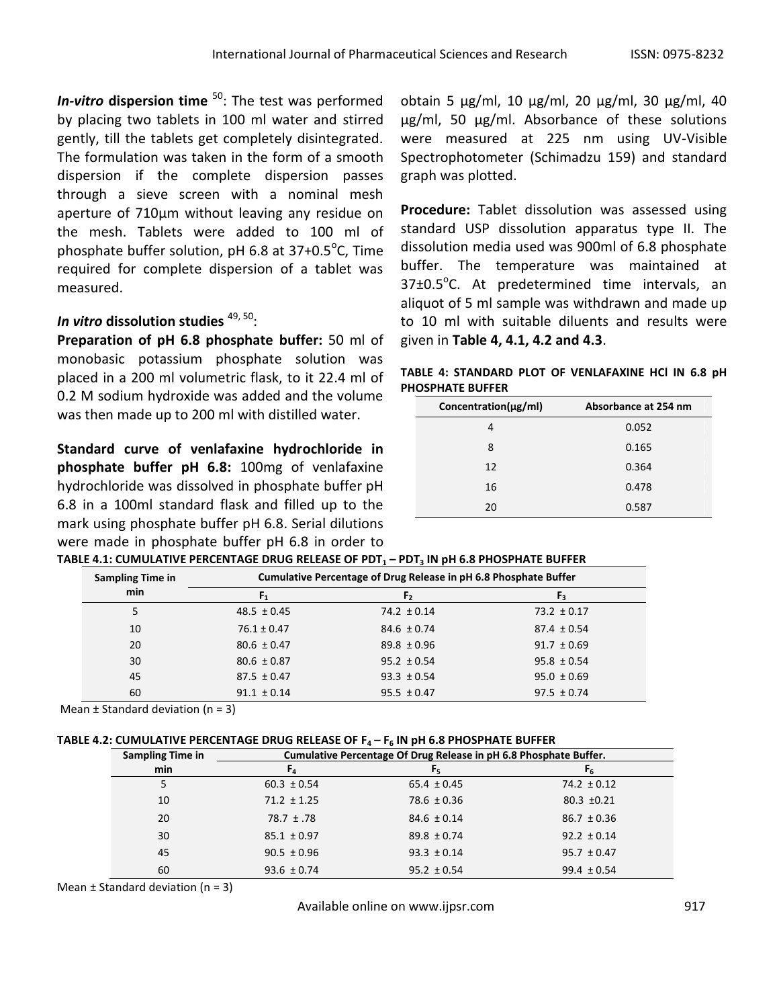**In-vitro dispersion time** <sup>50</sup>: The test was performed by placing two tablets in 100 ml water and stirred gently, till the tablets get completely disintegrated. The formulation was taken in the form of a smooth dispersion if the complete dispersion passes through a sieve screen with a nominal mesh aperture of 710μm without leaving any residue on the mesh. Tablets were added to 100 ml of phosphate buffer solution, pH 6.8 at 37+0.5 $\rm ^{o}$ C, Time required for complete dispersion of a tablet was measured.

# *In vitro d*issolution studies <sup>49, 50</sup>:

**Preparation of pH 6.8 phosphate buffer:** 50 ml of monobasic potassium phosphate solution was placed in a 200 ml volumetric flask, to it 22.4 ml of 0.2 M sodium hydroxide was added and the volume was then made up to 200 ml with distilled water.

**Standard curve of venlafaxine hydrochloride in phosphate buffer pH 6.8:** 100mg of venlafaxine hydrochloride was dissolved in phosphate buffer pH 6.8 in a 100ml standard flask and filled up to the mark using phosphate buffer pH 6.8. Serial dilutions were made in phosphate buffer pH 6.8 in order to obtain 5 μg/ml, 10 μg/ml, 20 μg/ml, 30 μg/ml, 40 μg/ml, 50 μg/ml. Absorbance of these solutions were measured at 225 nm using UV-Visible Spectrophotometer (Schimadzu 159) and standard graph was plotted.

**Procedure:** Tablet dissolution was assessed using standard USP dissolution apparatus type II. The dissolution media used was 900ml of 6.8 phosphate buffer. The temperature was maintained at  $37\pm0.5^{\circ}$ C. At predetermined time intervals, an aliquot of 5 ml sample was withdrawn and made up to 10 ml with suitable diluents and results were given in **Table 4, 4.1, 4.2 and 4.3**.

**TABLE 4: STANDARD PLOT OF VENLAFAXINE HCl IN 6.8 pH PHOSPHATE BUFFER**

| Concentration(µg/ml) | Absorbance at 254 nm |
|----------------------|----------------------|
| 4                    | 0.052                |
| 8                    | 0.165                |
| 12                   | 0.364                |
| 16                   | 0.478                |
| 20                   | 0.587                |

| <b>Sampling Time in</b> | Cumulative Percentage of Drug Release in pH 6.8 Phosphate Buffer |                 |                 |  |  |  |
|-------------------------|------------------------------------------------------------------|-----------------|-----------------|--|--|--|
| min                     |                                                                  |                 |                 |  |  |  |
| 5.                      | $48.5 \pm 0.45$                                                  | $74.2 \pm 0.14$ | $73.2 \pm 0.17$ |  |  |  |
| 10                      | $76.1 \pm 0.47$                                                  | $84.6 \pm 0.74$ | $87.4 \pm 0.54$ |  |  |  |
| 20                      | $80.6 \pm 0.47$                                                  | $89.8 \pm 0.96$ | $91.7 \pm 0.69$ |  |  |  |
| 30                      | $80.6 \pm 0.87$                                                  | $95.2 \pm 0.54$ | $95.8 \pm 0.54$ |  |  |  |
| 45                      | $87.5 \pm 0.47$                                                  | $93.3 \pm 0.54$ | $95.0 \pm 0.69$ |  |  |  |
| 60                      | $91.1 \pm 0.14$                                                  | $95.5 \pm 0.47$ | $97.5 \pm 0.74$ |  |  |  |

|  |  | TABLE 4.1: CUMULATIVE PERCENTAGE DRUG RELEASE OF PDT $_{\rm 1}$ – PDT $_{\rm 3}$ IN pH 6.8 PHOSPHATE BUFFER |
|--|--|-------------------------------------------------------------------------------------------------------------|

Mean  $\pm$  Standard deviation (n = 3)

| <b>Sampling Time in</b> | Cumulative Percentage Of Drug Release in pH 6.8 Phosphate Buffer. |                 |                 |  |  |
|-------------------------|-------------------------------------------------------------------|-----------------|-----------------|--|--|
| min                     | $\mathbf{r}_4$                                                    | Fς              | Γĸ              |  |  |
|                         | $60.3 \pm 0.54$                                                   | $65.4 \pm 0.45$ | $74.2 \pm 0.12$ |  |  |
| 10                      | $71.2 \pm 1.25$                                                   | $78.6 \pm 0.36$ | $80.3 \pm 0.21$ |  |  |
| 20                      | $78.7 \pm .78$                                                    | $84.6 \pm 0.14$ | $86.7 \pm 0.36$ |  |  |
| 30                      | $85.1 \pm 0.97$                                                   | $89.8 \pm 0.74$ | $92.2 \pm 0.14$ |  |  |
| 45                      | $90.5 \pm 0.96$                                                   | $93.3 \pm 0.14$ | $95.7 \pm 0.47$ |  |  |
| 60                      | $93.6 \pm 0.74$                                                   | $95.2 \pm 0.54$ | $99.4 \pm 0.54$ |  |  |

Mean  $\pm$  Standard deviation (n = 3)

Available online on www.ijpsr.com example on the set of the set of the set of the set of the set of the set of the set of the set of the set of the set of the set of the set of the set of the set of the set of the set of t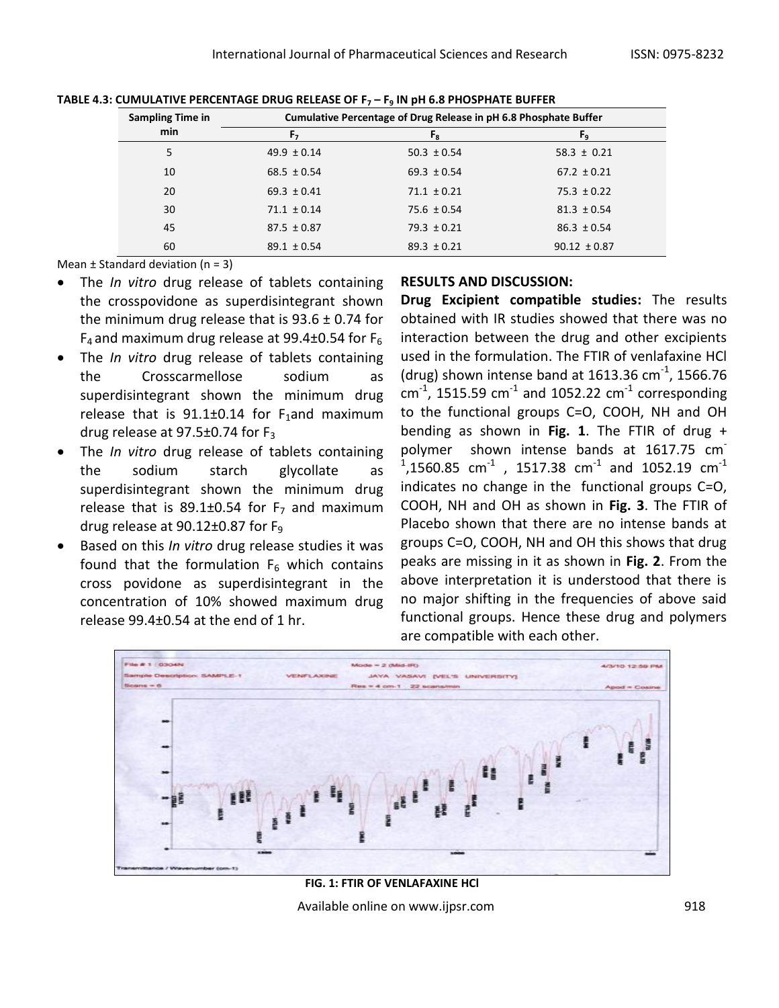| <b>Sampling Time in</b> | Cumulative Percentage of Drug Release in pH 6.8 Phosphate Buffer |                 |                  |  |  |  |
|-------------------------|------------------------------------------------------------------|-----------------|------------------|--|--|--|
| min                     | F,                                                               | $F_{R}$         | F <sub>9</sub>   |  |  |  |
| 5                       | $49.9 \pm 0.14$                                                  | $50.3 \pm 0.54$ | $58.3 \pm 0.21$  |  |  |  |
| 10                      | $68.5 \pm 0.54$                                                  | $69.3 \pm 0.54$ | $67.2 \pm 0.21$  |  |  |  |
| 20                      | $69.3 \pm 0.41$                                                  | $71.1 \pm 0.21$ | $75.3 \pm 0.22$  |  |  |  |
| 30                      | $71.1 \pm 0.14$                                                  | $75.6 \pm 0.54$ | $81.3 \pm 0.54$  |  |  |  |
| 45                      | $87.5 \pm 0.87$                                                  | $79.3 \pm 0.21$ | $86.3 \pm 0.54$  |  |  |  |
| 60                      | $89.1 \pm 0.54$                                                  | $89.3 \pm 0.21$ | $90.12 \pm 0.87$ |  |  |  |

**TABLE 4.3: CUMULATIVE PERCENTAGE DRUG RELEASE OF F<sup>7</sup> – F<sup>9</sup> IN pH 6.8 PHOSPHATE BUFFER**

Mean  $\pm$  Standard deviation (n = 3)

- The *In vitro* drug release of tablets containing the crosspovidone as superdisintegrant shown the minimum drug release that is  $93.6 \pm 0.74$  for  $F_4$  and maximum drug release at 99.4 $\pm$ 0.54 for F<sub>6</sub>
- The *In vitro* drug release of tablets containing the Crosscarmellose sodium as superdisintegrant shown the minimum drug release that is  $91.1 \pm 0.14$  for F<sub>1</sub>and maximum drug release at  $97.5\pm0.74$  for  $F_3$
- The *In vitro* drug release of tablets containing the sodium starch glycollate as superdisintegrant shown the minimum drug release that is 89.1 $\pm$ 0.54 for F<sub>7</sub> and maximum drug release at 90.12±0.87 for F<sup>9</sup>
- Based on this *In vitro* drug release studies it was found that the formulation  $F_6$  which contains cross povidone as superdisintegrant in the concentration of 10% showed maximum drug release  $99.4\pm0.54$  at the end of 1 hr.

### **RESULTS AND DISCUSSION:**

**Drug Excipient compatible studies:** The results obtained with IR studies showed that there was no interaction between the drug and other excipients used in the formulation. The FTIR of venlafaxine HCl (drug) shown intense band at 1613.36 cm<sup>-1</sup>, 1566.76  $\text{cm}^{\text{-1}}$ , 1515.59  $\text{cm}^{\text{-1}}$  and 1052.22  $\text{cm}^{\text{-1}}$  corresponding to the functional groups C=O, COOH, NH and OH bending as shown in **Fig. 1**. The FTIR of drug + polymer shown intense bands at 1617.75 cm  $^{1}$ ,1560.85 cm<sup>-1</sup> , 1517.38 cm<sup>-1</sup> and 1052.19 cm<sup>-1</sup> indicates no change in the functional groups C=O, COOH, NH and OH as shown in **Fig. 3**. The FTIR of Placebo shown that there are no intense bands at groups C=O, COOH, NH and OH this shows that drug peaks are missing in it as shown in **Fig. 2**. From the above interpretation it is understood that there is no major shifting in the frequencies of above said functional groups. Hence these drug and polymers are compatible with each other.



**FIG. 1: FTIR OF VENLAFAXINE HCl**

Available online on www.ijpsr.com example on the 918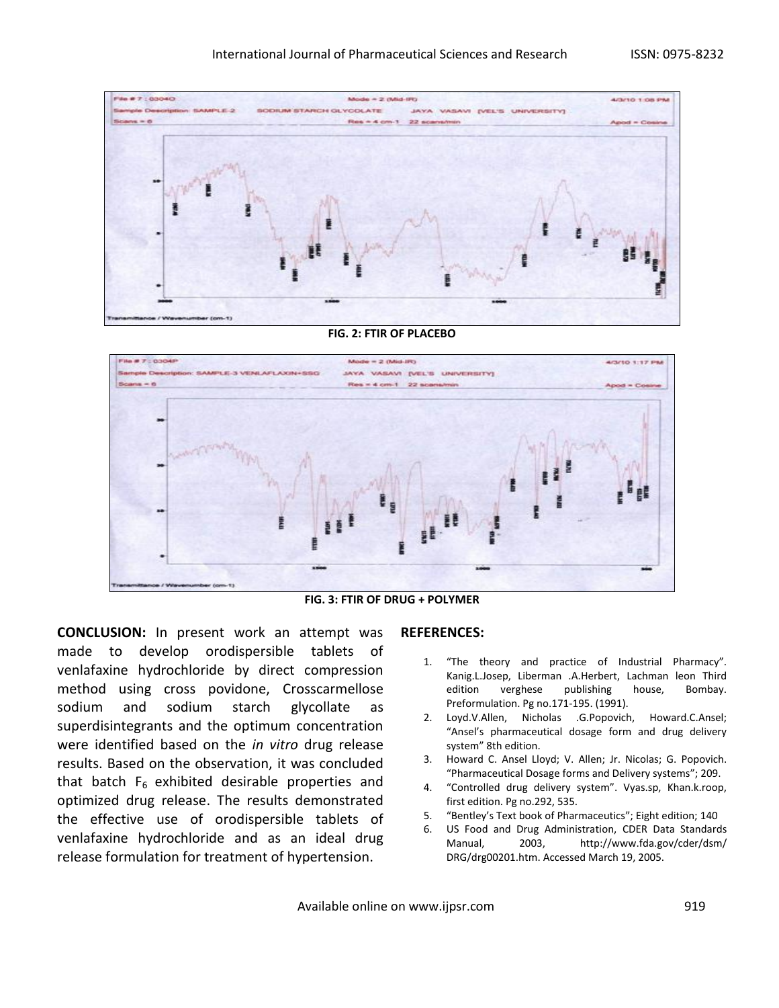

#### **FIG. 2: FTIR OF PLACEBO**



**FIG. 3: FTIR OF DRUG + POLYMER** 

**CONCLUSION:** In present work an attempt was made to develop orodispersible tablets of venlafaxine hydrochloride by direct compression method using cross povidone, Crosscarmellose sodium and sodium starch glycollate as superdisintegrants and the optimum concentration were identified based on the *in vitro* drug release results. Based on the observation, it was concluded that batch  $F_6$  exhibited desirable properties and optimized drug release. The results demonstrated the effective use of orodispersible tablets of venlafaxine hydrochloride and as an ideal drug release formulation for treatment of hypertension.

#### **REFERENCES:**

- 1. "The theory and practice of Industrial Pharmacy". Kanig.L.Josep, Liberman .A.Herbert, Lachman leon Third edition verghese publishing house, Bombay. Preformulation. Pg no.171-195. (1991).
- 2. Loyd.V.Allen, Nicholas .G.Popovich, Howard.C.Ansel; "Ansel's pharmaceutical dosage form and drug delivery system" 8th edition.
- 3. Howard C. Ansel Lloyd; V. Allen; Jr. Nicolas; G. Popovich. "Pharmaceutical Dosage forms and Delivery systems"; 209.
- 4. "Controlled drug delivery system". Vyas.sp, Khan.k.roop, first edition. Pg no.292, 535.
- 5. "Bentley's Text book of Pharmaceutics"; Eight edition; 140
- 6. US Food and Drug Administration, CDER Data Standards Manual, 2003, http://www.fda.gov/cder/dsm/ DRG/drg00201.htm. Accessed March 19, 2005.

Available online on www.ijpsr.com example on the same of the 919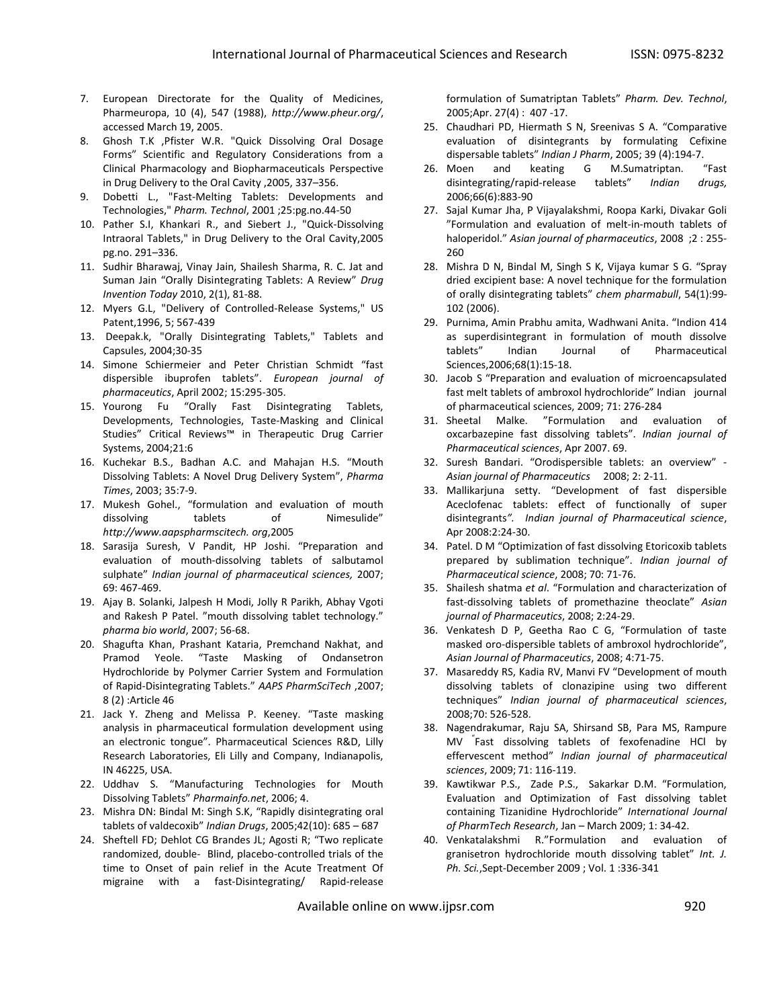- 7. European Directorate for the Quality of Medicines, Pharmeuropa, 10 (4), 547 (1988), *http://www.pheur.org/*, accessed March 19, 2005.
- 8. Ghosh T.K ,Pfister W.R. "Quick Dissolving Oral Dosage Forms" Scientific and Regulatory Considerations from a Clinical Pharmacology and Biopharmaceuticals Perspective in Drug Delivery to the Oral Cavity ,2005, 337–356.
- 9. Dobetti L., "Fast-Melting Tablets: Developments and Technologies," *Pharm. Technol*, 2001 ;25:pg.no.44-50
- 10. Pather S.I, Khankari R., and Siebert J., "Quick-Dissolving Intraoral Tablets," in Drug Delivery to the Oral Cavity,2005 pg.no. 291–336.
- 11. Sudhir Bharawaj, Vinay Jain, Shailesh Sharma, R. C. Jat and Suman Jain "Orally Disintegrating Tablets: A Review" *Drug Invention Today* 2010, 2(1), 81-88.
- 12. Myers G.L, "Delivery of Controlled-Release Systems," US Patent,1996, 5; 567-439
- 13. Deepak.k, "Orally Disintegrating Tablets," Tablets and Capsules, 2004;30-35
- 14. Simone Schiermeier and Peter Christian Schmidt "fast dispersible ibuprofen tablets". *European journal of pharmaceutics*, April 2002; 15:295-305.
- 15. Yourong Fu "Orally Fast Disintegrating Tablets, Developments, Technologies, Taste-Masking and Clinical Studies" Critical Reviews™ in Therapeutic Drug Carrier Systems, 2004;21:6
- 16. Kuchekar B.S., Badhan A.C. and Mahajan H.S. "Mouth Dissolving Tablets: A Novel Drug Delivery System", *Pharma Times*, 2003; 35:7-9.
- 17. Mukesh Gohel., "formulation and evaluation of mouth dissolving tablets of Nimesulide" *http://www.aapspharmscitech. org*,2005
- 18. Sarasija Suresh, V Pandit, HP Joshi. "Preparation and evaluation of mouth-dissolving tablets of salbutamol sulphate" *Indian journal of pharmaceutical sciences,* 2007; 69: 467-469.
- 19. Ajay B. Solanki, Jalpesh H Modi, Jolly R Parikh, Abhay Vgoti and Rakesh P Patel. "mouth dissolving tablet technology." *pharma bio world*, 2007; 56-68.
- 20. Shagufta Khan, Prashant Kataria, Premchand Nakhat, and Pramod Yeole. "Taste Masking of Ondansetron Hydrochloride by Polymer Carrier System and Formulation of Rapid-Disintegrating Tablets." *AAPS PharmSciTech* ,2007; 8 (2) :Article 46
- 21. Jack Y. Zheng and Melissa P. Keeney. "Taste masking analysis in pharmaceutical formulation development using an electronic tongue". Pharmaceutical Sciences R&D, Lilly Research Laboratories, Eli Lilly and Company, Indianapolis, IN 46225, USA.
- 22. Uddhav S. "Manufacturing Technologies for Mouth Dissolving Tablets" *Pharmainfo.net*, 2006; 4.
- 23. Mishra DN: Bindal M: Singh S.K, "Rapidly disintegrating oral tablets of valdecoxib" *Indian Drugs*, 2005;42(10): 685 – 687
- 24. Sheftell FD; Dehlot CG Brandes JL; Agosti R; "Two replicate randomized, double- Blind, placebo-controlled trials of the time to Onset of pain relief in the Acute Treatment Of migraine with a fast-Disintegrating/ Rapid-release

formulation of Sumatriptan Tablets" *Pharm. Dev. Technol*, 2005;Apr. 27(4) : 407 -17.

- 25. Chaudhari PD, Hiermath S N, Sreenivas S A. "Comparative evaluation of disintegrants by formulating Cefixine dispersable tablets" *Indian J Pharm*, 2005; 39 (4):194-7.
- 26. Moen and keating G M.Sumatriptan. "Fast disintegrating/rapid-release tablets" *Indian drugs,* 2006;66(6):883-90
- 27. Sajal Kumar Jha, P Vijayalakshmi, Roopa Karki, Divakar Goli "Formulation and evaluation of melt-in-mouth tablets of haloperidol." *Asian journal of pharmaceutics*, 2008 ;2 : 255- 260
- 28. Mishra D N, Bindal M, Singh S K, Vijaya kumar S G. "Spray dried excipient base: A novel technique for the formulation of orally disintegrating tablets" *chem pharmabull*, 54(1):99- 102 (2006).
- 29. Purnima, Amin Prabhu amita, Wadhwani Anita. "Indion 414 as superdisintegrant in formulation of mouth dissolve tablets" Indian Journal of Pharmaceutical Sciences,2006;68(1):15-18.
- 30. Jacob S "Preparation and evaluation of microencapsulated fast melt tablets of ambroxol hydrochloride" Indian journal of pharmaceutical sciences, 2009; 71: 276-284
- 31. Sheetal Malke. "Formulation and evaluation of oxcarbazepine fast dissolving tablets". *Indian journal of Pharmaceutical sciences*, Apr 2007. 69.
- 32. Suresh Bandari. "Orodispersible tablets: an overview" *Asian journal of Pharmaceutics* 2008; 2: 2-11.
- 33. Mallikarjuna setty. "Development of fast dispersible Aceclofenac tablets: effect of functionally of super disintegrants*". Indian journal of Pharmaceutical science*, Apr 2008:2:24-30.
- 34. Patel. D M "Optimization of fast dissolving Etoricoxib tablets prepared by sublimation technique". *Indian journal of Pharmaceutical science*, 2008; 70: 71-76.
- 35. Shailesh shatma *et al*. "Formulation and characterization of fast-dissolving tablets of promethazine theoclate" *Asian journal of Pharmaceutics*, 2008; 2:24-29.
- 36. Venkatesh D P, Geetha Rao C G, "Formulation of taste masked oro-dispersible tablets of ambroxol hydrochloride", *Asian Journal of Pharmaceutics*, 2008; 4:71-75.
- 37. Masareddy RS, Kadia RV, Manvi FV "Development of mouth dissolving tablets of clonazipine using two different techniques" *Indian journal of pharmaceutical sciences*, 2008;70: 526-528.
- 38. Nagendrakumar, Raju SA, Shirsand SB, Para MS, Rampure MV " Fast dissolving tablets of fexofenadine HCl by effervescent method" *Indian journal of pharmaceutical sciences*, 2009; 71: 116-119.
- 39. Kawtikwar P.S., Zade P.S., Sakarkar D.M. "Formulation, Evaluation and Optimization of Fast dissolving tablet containing Tizanidine Hydrochloride" *International Journal of PharmTech Research*, Jan – March 2009; 1: 34-42.
- 40. Venkatalakshmi R."Formulation and evaluation of granisetron hydrochloride mouth dissolving tablet" *Int. J. Ph. Sci.*,Sept-December 2009 ; Vol. 1 :336-341

Available online on www.ijpsr.com 920